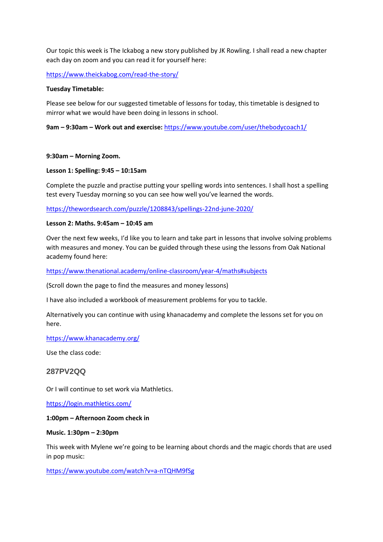Our topic this week is The Ickabog a new story published by JK Rowling. I shall read a new chapter each day on zoom and you can read it for yourself here:

<https://www.theickabog.com/read-the-story/>

### **Tuesday Timetable:**

Please see below for our suggested timetable of lessons for today, this timetable is designed to mirror what we would have been doing in lessons in school.

**9am – 9:30am – Work out and exercise:** <https://www.youtube.com/user/thebodycoach1/>

### **9:30am – Morning Zoom.**

## **Lesson 1: Spelling: 9:45 – 10:15am**

Complete the puzzle and practise putting your spelling words into sentences. I shall host a spelling test every Tuesday morning so you can see how well you've learned the words.

<https://thewordsearch.com/puzzle/1208843/spellings-22nd-june-2020/>

### **Lesson 2: Maths. 9:45am – 10:45 am**

Over the next few weeks, I'd like you to learn and take part in lessons that involve solving problems with measures and money. You can be guided through these using the lessons from Oak National academy found here:

<https://www.thenational.academy/online-classroom/year-4/maths#subjects>

(Scroll down the page to find the measures and money lessons)

I have also included a workbook of measurement problems for you to tackle.

Alternatively you can continue with using khanacademy and complete the lessons set for you on here.

<https://www.khanacademy.org/>

Use the class code:

# **287PV2QQ**

Or I will continue to set work via Mathletics.

<https://login.mathletics.com/>

### **1:00pm – Afternoon Zoom check in**

### **Music. 1:30pm – 2:30pm**

This week with Mylene we're going to be learning about chords and the magic chords that are used in pop music:

<https://www.youtube.com/watch?v=a-nTQHM9fSg>